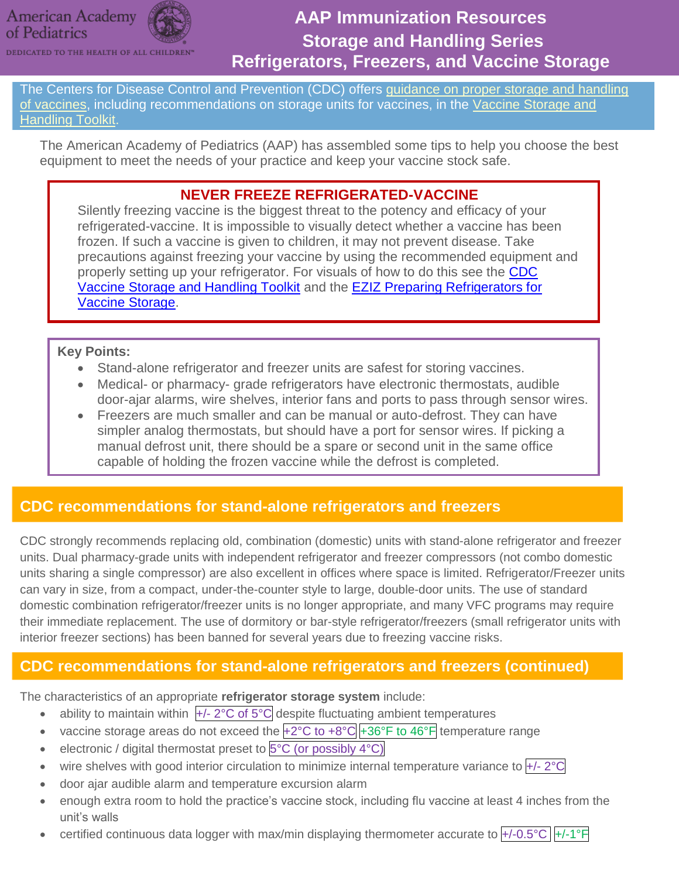### **American Academy** of Pediatrics



# **AAP Immunization Resources Storage and Handling Series Refrigerators, Freezers, and Vaccine Storage**

The Centers for Disease Control and Prevention (CDC) offers [guidance on proper storage and handling](http://www.cdc.gov/vaccines/recs/storage/default.htm)  [of vaccines,](http://www.cdc.gov/vaccines/recs/storage/default.htm) including recommendations on storage units for vaccines, in the Vaccine Storage and [Handling Toolkit.](http://www.cdc.gov/vaccines/hcp/admin/storage/toolkit/index.html)

The American Academy of Pediatrics (AAP) has assembled some tips to help you choose the best equipment to meet the needs of your practice and keep your vaccine stock safe.

### **NEVER FREEZE REFRIGERATED-VACCINE**

Silently freezing vaccine is the biggest threat to the potency and efficacy of your refrigerated-vaccine. It is impossible to visually detect whether a vaccine has been frozen. If such a vaccine is given to children, it may not prevent disease. Take precautions against freezing your vaccine by using the recommended equipment and properly setting up your refrigerator. For visuals of how to do this see the CDC [Vaccine Storage and Handling Toolkit](http://www.cdc.gov/vaccines/hcp/admin/storage/toolkit/index.html) and the [EZIZ Preparing Refrigerators for](http://eziz.org/assets/docs/IMM-962.pdf)  [Vaccine Storage.](http://eziz.org/assets/docs/IMM-962.pdf)

#### **Key Points:**

- Stand-alone refrigerator and freezer units are safest for storing vaccines.
- Medical- or pharmacy- grade refrigerators have electronic thermostats, audible door-ajar alarms, wire shelves, interior fans and ports to pass through sensor wires.
- Freezers are much smaller and can be manual or auto-defrost. They can have simpler analog thermostats, but should have a port for sensor wires. If picking a manual defrost unit, there should be a spare or second unit in the same office capable of holding the frozen vaccine while the defrost is completed.

## **CDC recommendations for stand-alone refrigerators and freezers**

CDC strongly recommends replacing old, combination (domestic) units with stand-alone refrigerator and freezer units. Dual pharmacy-grade units with independent refrigerator and freezer compressors (not combo domestic units sharing a single compressor) are also excellent in offices where space is limited. Refrigerator/Freezer units can vary in size, from a compact, under-the-counter style to large, double-door units. The use of standard domestic combination refrigerator/freezer units is no longer appropriate, and many VFC programs may require their immediate replacement. The use of dormitory or bar-style refrigerator/freezers (small refrigerator units with interior freezer sections) has been banned for several years due to freezing vaccine risks.

## **CDC recommendations for stand-alone refrigerators and freezers (continued)**

The characteristics of an appropriate **refrigerator storage system** include:

- ability to maintain within  $\frac{+}{2}$ °C of 5°C despite fluctuating ambient temperatures
- vaccine storage areas do not exceed the  $+2^{\circ}C$  to  $+8^{\circ}C +36^{\circ}F$  to  $46^{\circ}F$  temperature range
- e electronic / digital thermostat preset to  $5^{\circ}$ C (or possibly  $4^{\circ}$ C)
- wire shelves with good interior circulation to minimize internal temperature variance to +/- 2°C
- door ajar audible alarm and temperature excursion alarm
- enough extra room to hold the practice's vaccine stock, including flu vaccine at least 4 inches from the unit's walls
- certified continuous data logger with max/min displaying thermometer accurate to  $+/-0.5^{\circ}C$   $|+/-1^{\circ}F|$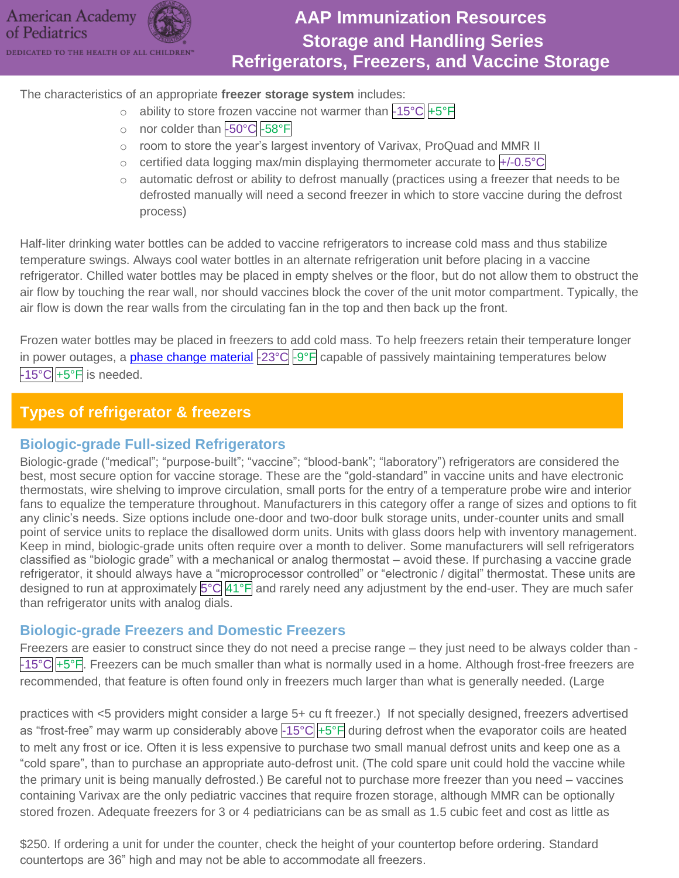

## **AAP Immunization Resources Storage and Handling Series Refrigerators, Freezers, and Vaccine Storage**

The characteristics of an appropriate **freezer storage system** includes:

- o ability to store frozen vaccine not warmer than  $-15\degree C + 5\degree F$
- o nor colder than -50°C -58°F
- o room to store the year's largest inventory of Varivax, ProQuad and MMR II
- $\circ$  certified data logging max/min displaying thermometer accurate to  $\overline{+/-0.5^{\circ}C}$
- o automatic defrost or ability to defrost manually (practices using a freezer that needs to be defrosted manually will need a second freezer in which to store vaccine during the defrost process)

Half-liter drinking water bottles can be added to vaccine refrigerators to increase cold mass and thus stabilize temperature swings. Always cool water bottles in an alternate refrigeration unit before placing in a vaccine refrigerator. Chilled water bottles may be placed in empty shelves or the floor, but do not allow them to obstruct the air flow by touching the rear wall, nor should vaccines block the cover of the unit motor compartment. Typically, the air flow is down the rear walls from the circulating fan in the top and then back up the front.

Frozen water bottles may be placed in freezers to add cold mass. To help freezers retain their temperature longer in power outages, a *phase change material* -23°C -9°F capable of passively maintaining temperatures below  $-15^{\circ}$ C  $+5^{\circ}$ F is needed.

### **Types of refrigerator & freezers**

#### **Biologic-grade Full-sized Refrigerators**

Biologic-grade ("medical"; "purpose-built"; "vaccine"; "blood-bank"; "laboratory") refrigerators are considered the best, most secure option for vaccine storage. These are the "gold-standard" in vaccine units and have electronic thermostats, wire shelving to improve circulation, small ports for the entry of a temperature probe wire and interior fans to equalize the temperature throughout. Manufacturers in this category offer a range of sizes and options to fit any clinic's needs. Size options include one-door and two-door bulk storage units, under-counter units and small point of service units to replace the disallowed dorm units. Units with glass doors help with inventory management. Keep in mind, biologic-grade units often require over a month to deliver. Some manufacturers will sell refrigerators classified as "biologic grade" with a mechanical or analog thermostat – avoid these. If purchasing a vaccine grade refrigerator, it should always have a "microprocessor controlled" or "electronic / digital" thermostat. These units are designed to run at approximately 5°C 41°F and rarely need any adjustment by the end-user. They are much safer than refrigerator units with analog dials.

#### **Biologic-grade Freezers and Domestic Freezers**

Freezers are easier to construct since they do not need a precise range – they just need to be always colder than -  $-15^{\circ}$ C +5°F. Freezers can be much smaller than what is normally used in a home. Although frost-free freezers are recommended, that feature is often found only in freezers much larger than what is generally needed. (Large

practices with <5 providers might consider a large 5+ cu ft freezer.) If not specially designed, freezers advertised as "frost-free" may warm up considerably above  $\frac{15}{C}$  +5°F during defrost when the evaporator coils are heated to melt any frost or ice. Often it is less expensive to purchase two small manual defrost units and keep one as a "cold spare", than to purchase an appropriate auto-defrost unit. (The cold spare unit could hold the vaccine while the primary unit is being manually defrosted.) Be careful not to purchase more freezer than you need – vaccines containing Varivax are the only pediatric vaccines that require frozen storage, although MMR can be optionally stored frozen. Adequate freezers for 3 or 4 pediatricians can be as small as 1.5 cubic feet and cost as little as

\$250. If ordering a unit for under the counter, check the height of your countertop before ordering. Standard countertops are 36" high and may not be able to accommodate all freezers.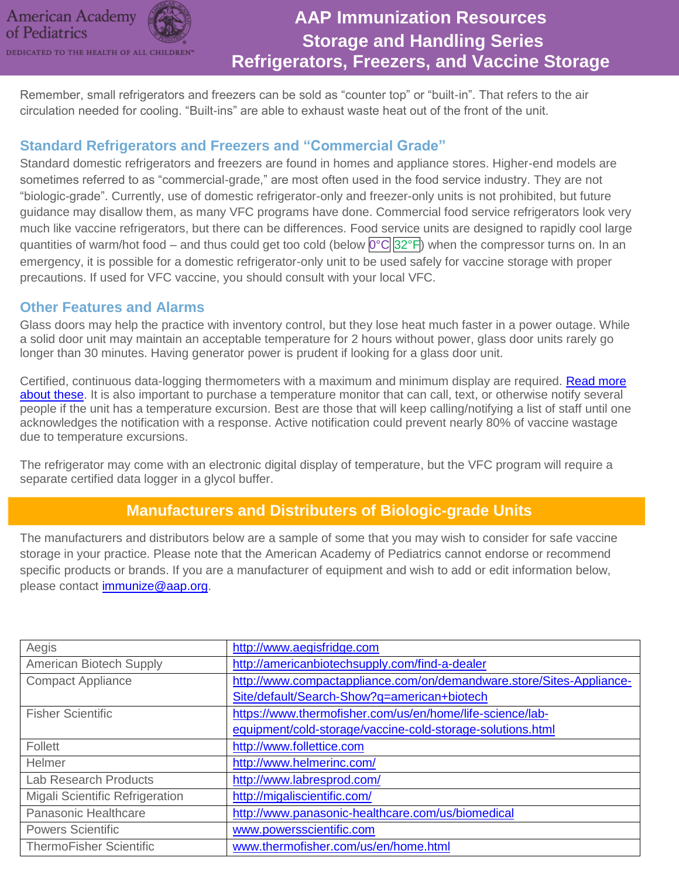

DEDICATED TO THE HEALTH OF ALL CHILDREN"

# **AAP Immunization Resources Storage and Handling Series Refrigerators, Freezers, and Vaccine Storage**

Remember, small refrigerators and freezers can be sold as "counter top" or "built-in". That refers to the air circulation needed for cooling. "Built-ins" are able to exhaust waste heat out of the front of the unit.

### **Standard Refrigerators and Freezers and "Commercial Grade"**

Standard domestic refrigerators and freezers are found in homes and appliance stores. Higher-end models are sometimes referred to as "commercial-grade," are most often used in the food service industry. They are not "biologic-grade". Currently, use of domestic refrigerator-only and freezer-only units is not prohibited, but future guidance may disallow them, as many VFC programs have done. Commercial food service refrigerators look very much like vaccine refrigerators, but there can be differences. Food service units are designed to rapidly cool large quantities of warm/hot food – and thus could get too cold (below  $0^{\circ}C$  32°F) when the compressor turns on. In an emergency, it is possible for a domestic refrigerator-only unit to be used safely for vaccine storage with proper precautions. If used for VFC vaccine, you should consult with your local VFC.

### **Other Features and Alarms**

Glass doors may help the practice with inventory control, but they lose heat much faster in a power outage. While a solid door unit may maintain an acceptable temperature for 2 hours without power, glass door units rarely go longer than 30 minutes. Having generator power is prudent if looking for a glass door unit.

Certified, continuous data-logging thermometers with a maximum and minimum display are required. Read more [about these.](https://www.aap.org/en-us/Documents/immunization_dataloggers.pdf) It is also important to purchase a temperature monitor that can call, text, or otherwise notify several people if the unit has a temperature excursion. Best are those that will keep calling/notifying a list of staff until one acknowledges the notification with a response. Active notification could prevent nearly 80% of vaccine wastage due to temperature excursions.

The refrigerator may come with an electronic digital display of temperature, but the VFC program will require a separate certified data logger in a glycol buffer.

### **Manufacturers and Distributers of Biologic-grade Units**

The manufacturers and distributors below are a sample of some that you may wish to consider for safe vaccine storage in your practice. Please note that the American Academy of Pediatrics cannot endorse or recommend specific products or brands. If you are a manufacturer of equipment and wish to add or edit information below, please contact [immunize@aap.org.](mailto:immunize@aap.org)

| Aegis                           | http://www.aegisfridge.com                                           |
|---------------------------------|----------------------------------------------------------------------|
| American Biotech Supply         | http://americanbiotechsupply.com/find-a-dealer                       |
| <b>Compact Appliance</b>        | http://www.compactappliance.com/on/demandware.store/Sites-Appliance- |
|                                 | Site/default/Search-Show?q=american+biotech                          |
| <b>Fisher Scientific</b>        | https://www.thermofisher.com/us/en/home/life-science/lab-            |
|                                 | equipment/cold-storage/vaccine-cold-storage-solutions.html           |
| Follett                         | http://www.follettice.com                                            |
| Helmer                          | http://www.helmerinc.com/                                            |
| <b>Lab Research Products</b>    | http://www.labresprod.com/                                           |
| Migali Scientific Refrigeration | http://migaliscientific.com/                                         |
| Panasonic Healthcare            | http://www.panasonic-healthcare.com/us/biomedical                    |
| <b>Powers Scientific</b>        | www.powersscientific.com                                             |
| <b>ThermoFisher Scientific</b>  | www.thermofisher.com/us/en/home.html                                 |